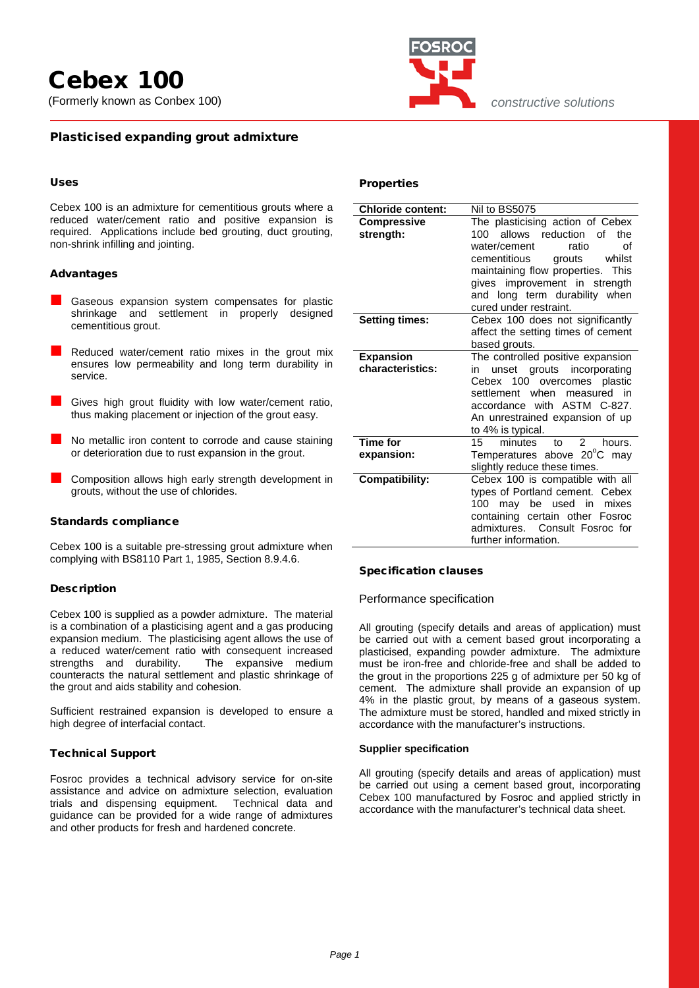

*constructive solutions*

## Plasticised expanding grout admixture

## Uses

Cebex 100 is an admixture for cementitious grouts where a reduced water/cement ratio and positive expansion is required. Applications include bed grouting, duct grouting, non-shrink infilling and jointing.

## Advantages

- Gaseous expansion system compensates for plastic shrinkage and settlement in properly designed cementitious grout.
- Reduced water/cement ratio mixes in the grout mix ensures low permeability and long term durability in service.
- Gives high grout fluidity with low water/cement ratio, thus making placement or injection of the grout easy.
- No metallic iron content to corrode and cause staining or deterioration due to rust expansion in the grout.
- Composition allows high early strength development in grouts, without the use of chlorides.

## Standards compliance

Cebex 100 is a suitable pre-stressing grout admixture when complying with BS8110 Part 1, 1985, Section 8.9.4.6.

## Description

Cebex 100 is supplied as a powder admixture. The material is a combination of a plasticising agent and a gas producing expansion medium. The plasticising agent allows the use of a reduced water/cement ratio with consequent increased<br>strengths and durability. The expansive medium The expansive medium counteracts the natural settlement and plastic shrinkage of the grout and aids stability and cohesion.

Sufficient restrained expansion is developed to ensure a high degree of interfacial contact.

## Technical Support

Fosroc provides a technical advisory service for on-site assistance and advice on admixture selection, evaluation trials and dispensing equipment. Technical data and guidance can be provided for a wide range of admixtures and other products for fresh and hardened concrete.

| <b>Properties</b> |  |
|-------------------|--|
|-------------------|--|

| <b>Chloride content:</b> | Nil to BS5075                                  |  |  |  |
|--------------------------|------------------------------------------------|--|--|--|
| <b>Compressive</b>       | The plasticising action of Cebex               |  |  |  |
| strength:                | allows reduction<br>100<br>of<br>the           |  |  |  |
|                          | water/cement<br>ratio<br>Ωf                    |  |  |  |
|                          | cementitious<br>grouts<br>whilst               |  |  |  |
|                          | maintaining flow properties. This              |  |  |  |
|                          | gives improvement in strength                  |  |  |  |
|                          | and long term durability when                  |  |  |  |
|                          | cured under restraint.                         |  |  |  |
| <b>Setting times:</b>    | Cebex 100 does not significantly               |  |  |  |
|                          | affect the setting times of cement             |  |  |  |
|                          | based grouts.                                  |  |  |  |
| <b>Expansion</b>         | The controlled positive expansion              |  |  |  |
| characteristics:         | unset grouts incorporating<br>in               |  |  |  |
|                          | Cebex 100 overcomes plastic                    |  |  |  |
|                          | settlement when measured in                    |  |  |  |
|                          | accordance with ASTM C-827.                    |  |  |  |
|                          | An unrestrained expansion of up                |  |  |  |
|                          | to 4% is typical.                              |  |  |  |
| <b>Time for</b>          | minutes<br>$\mathcal{P}$<br>15<br>hours.<br>to |  |  |  |
| expansion:               | Temperatures above 20°C may                    |  |  |  |
|                          | slightly reduce these times.                   |  |  |  |
| Compatibility:           | Cebex 100 is compatible with all               |  |  |  |
|                          | types of Portland cement. Cebex                |  |  |  |
|                          | 100 may be used in<br>mixes                    |  |  |  |
|                          | containing certain other Fosroc                |  |  |  |
|                          | admixtures. Consult Fosroc for                 |  |  |  |
|                          | further information.                           |  |  |  |

## Specification clauses

#### Performance specification

All grouting (specify details and areas of application) must be carried out with a cement based grout incorporating a plasticised, expanding powder admixture. The admixture must be iron-free and chloride-free and shall be added to the grout in the proportions 225 g of admixture per 50 kg of cement. The admixture shall provide an expansion of up 4% in the plastic grout, by means of a gaseous system. The admixture must be stored, handled and mixed strictly in accordance with the manufacturer's instructions.

#### **Supplier specification**

All grouting (specify details and areas of application) must be carried out using a cement based grout, incorporating Cebex 100 manufactured by Fosroc and applied strictly in accordance with the manufacturer's technical data sheet.